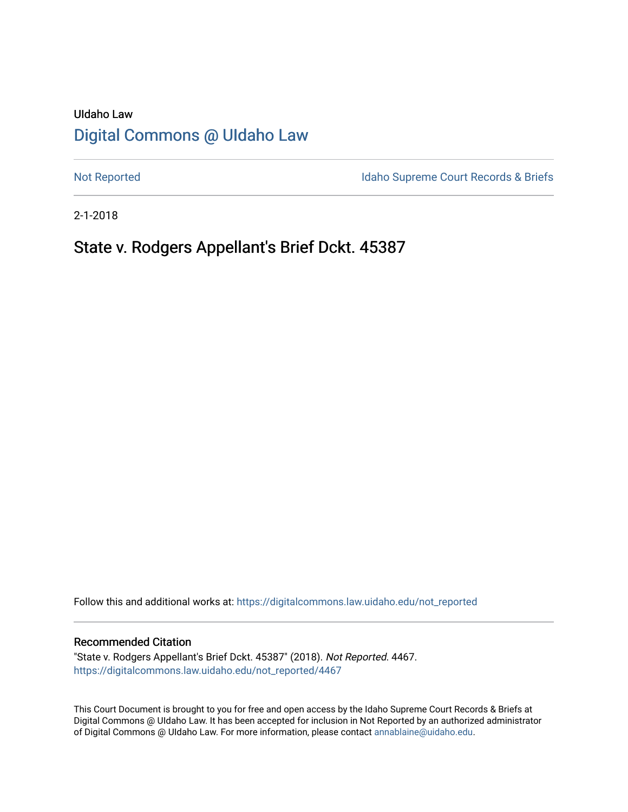# UIdaho Law [Digital Commons @ UIdaho Law](https://digitalcommons.law.uidaho.edu/)

[Not Reported](https://digitalcommons.law.uidaho.edu/not_reported) **Idaho Supreme Court Records & Briefs** 

2-1-2018

# State v. Rodgers Appellant's Brief Dckt. 45387

Follow this and additional works at: [https://digitalcommons.law.uidaho.edu/not\\_reported](https://digitalcommons.law.uidaho.edu/not_reported?utm_source=digitalcommons.law.uidaho.edu%2Fnot_reported%2F4467&utm_medium=PDF&utm_campaign=PDFCoverPages) 

#### Recommended Citation

"State v. Rodgers Appellant's Brief Dckt. 45387" (2018). Not Reported. 4467. [https://digitalcommons.law.uidaho.edu/not\\_reported/4467](https://digitalcommons.law.uidaho.edu/not_reported/4467?utm_source=digitalcommons.law.uidaho.edu%2Fnot_reported%2F4467&utm_medium=PDF&utm_campaign=PDFCoverPages)

This Court Document is brought to you for free and open access by the Idaho Supreme Court Records & Briefs at Digital Commons @ UIdaho Law. It has been accepted for inclusion in Not Reported by an authorized administrator of Digital Commons @ UIdaho Law. For more information, please contact [annablaine@uidaho.edu](mailto:annablaine@uidaho.edu).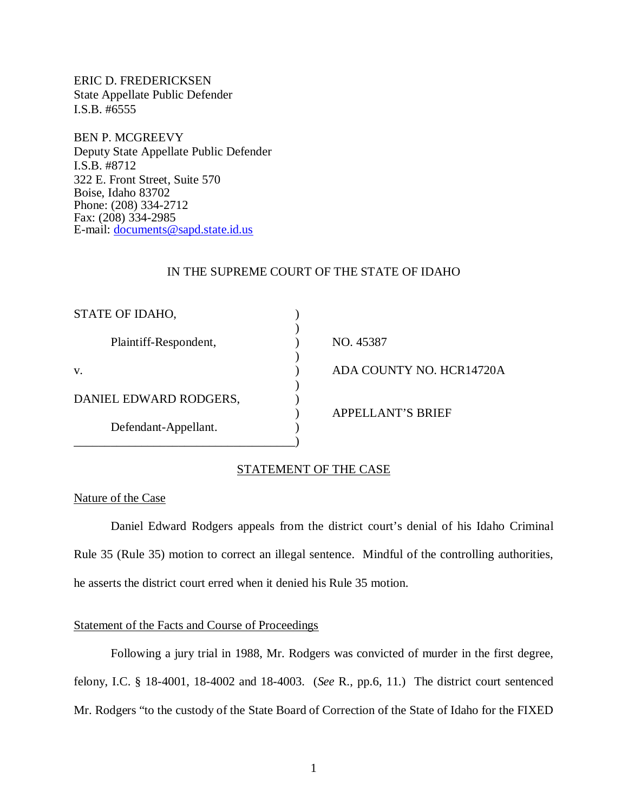ERIC D. FREDERICKSEN State Appellate Public Defender I.S.B. #6555

BEN P. MCGREEVY Deputy State Appellate Public Defender I.S.B. #8712 322 E. Front Street, Suite 570 Boise, Idaho 83702 Phone: (208) 334-2712 Fax: (208) 334-2985 E-mail: [documents@sapd.state.id.us](mailto:documents@sapd.state.id.us)

#### IN THE SUPREME COURT OF THE STATE OF IDAHO

| STATE OF IDAHO,        |                          |
|------------------------|--------------------------|
| Plaintiff-Respondent,  | NO. 45387                |
| V.                     | ADA COUNTY NO. HCR14720A |
| DANIEL EDWARD RODGERS, |                          |
| Defendant-Appellant.   | <b>APPELLANT'S BRIEF</b> |
|                        |                          |

## STATEMENT OF THE CASE

#### Nature of the Case

Daniel Edward Rodgers appeals from the district court's denial of his Idaho Criminal Rule 35 (Rule 35) motion to correct an illegal sentence. Mindful of the controlling authorities, he asserts the district court erred when it denied his Rule 35 motion.

### Statement of the Facts and Course of Proceedings

Following a jury trial in 1988, Mr. Rodgers was convicted of murder in the first degree, felony, I.C. § 18-4001, 18-4002 and 18-4003. (*See* R., pp.6, 11.) The district court sentenced Mr. Rodgers "to the custody of the State Board of Correction of the State of Idaho for the FIXED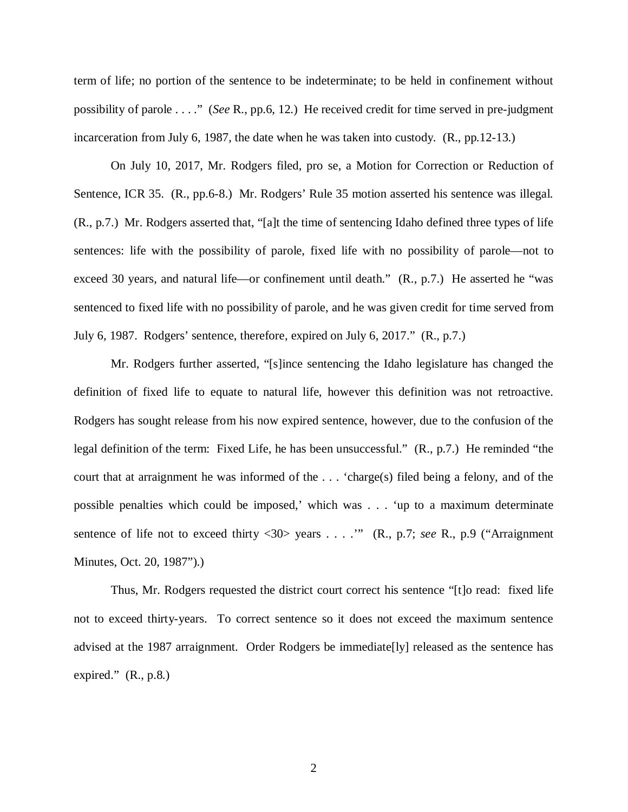term of life; no portion of the sentence to be indeterminate; to be held in confinement without possibility of parole . . . ." (*See* R., pp.6, 12.) He received credit for time served in pre-judgment incarceration from July 6, 1987, the date when he was taken into custody. (R., pp.12-13.)

On July 10, 2017, Mr. Rodgers filed, pro se, a Motion for Correction or Reduction of Sentence, ICR 35. (R., pp.6-8.) Mr. Rodgers' Rule 35 motion asserted his sentence was illegal. (R., p.7.) Mr. Rodgers asserted that, "[a]t the time of sentencing Idaho defined three types of life sentences: life with the possibility of parole, fixed life with no possibility of parole—not to exceed 30 years, and natural life—or confinement until death."  $(R., p.7.)$  He asserted he "was sentenced to fixed life with no possibility of parole, and he was given credit for time served from July 6, 1987. Rodgers' sentence, therefore, expired on July 6, 2017." (R., p.7.)

Mr. Rodgers further asserted, "[s]ince sentencing the Idaho legislature has changed the definition of fixed life to equate to natural life, however this definition was not retroactive. Rodgers has sought release from his now expired sentence, however, due to the confusion of the legal definition of the term: Fixed Life, he has been unsuccessful." (R., p.7.) He reminded "the court that at arraignment he was informed of the . . . 'charge(s) filed being a felony, and of the possible penalties which could be imposed,' which was . . . 'up to a maximum determinate sentence of life not to exceed thirty <30> years . . . .'" (R., p.7; *see* R., p.9 ("Arraignment Minutes, Oct. 20, 1987").)

Thus, Mr. Rodgers requested the district court correct his sentence "[t]o read: fixed life not to exceed thirty-years. To correct sentence so it does not exceed the maximum sentence advised at the 1987 arraignment. Order Rodgers be immediate[ly] released as the sentence has expired."  $(R., p.8.)$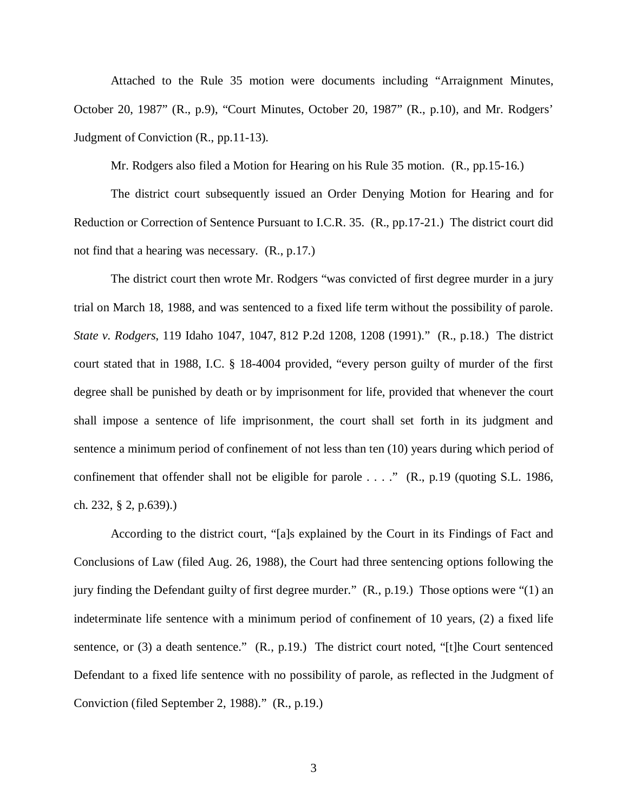Attached to the Rule 35 motion were documents including "Arraignment Minutes, October 20, 1987" (R., p.9), "Court Minutes, October 20, 1987" (R., p.10), and Mr. Rodgers' Judgment of Conviction (R., pp.11-13).

Mr. Rodgers also filed a Motion for Hearing on his Rule 35 motion. (R., pp.15-16.)

The district court subsequently issued an Order Denying Motion for Hearing and for Reduction or Correction of Sentence Pursuant to I.C.R. 35. (R., pp.17-21.) The district court did not find that a hearing was necessary. (R., p.17.)

The district court then wrote Mr. Rodgers "was convicted of first degree murder in a jury trial on March 18, 1988, and was sentenced to a fixed life term without the possibility of parole. *State v. Rodgers*, 119 Idaho 1047, 1047, 812 P.2d 1208, 1208 (1991)." (R., p.18.) The district court stated that in 1988, I.C. § 18-4004 provided, "every person guilty of murder of the first degree shall be punished by death or by imprisonment for life, provided that whenever the court shall impose a sentence of life imprisonment, the court shall set forth in its judgment and sentence a minimum period of confinement of not less than ten (10) years during which period of confinement that offender shall not be eligible for parole . . . ." (R., p.19 (quoting S.L. 1986, ch. 232, § 2, p.639).)

According to the district court, "[a]s explained by the Court in its Findings of Fact and Conclusions of Law (filed Aug. 26, 1988), the Court had three sentencing options following the jury finding the Defendant guilty of first degree murder." (R., p.19.) Those options were "(1) an indeterminate life sentence with a minimum period of confinement of 10 years, (2) a fixed life sentence, or (3) a death sentence." (R., p.19.) The district court noted, "[t]he Court sentenced Defendant to a fixed life sentence with no possibility of parole, as reflected in the Judgment of Conviction (filed September 2, 1988)." (R., p.19.)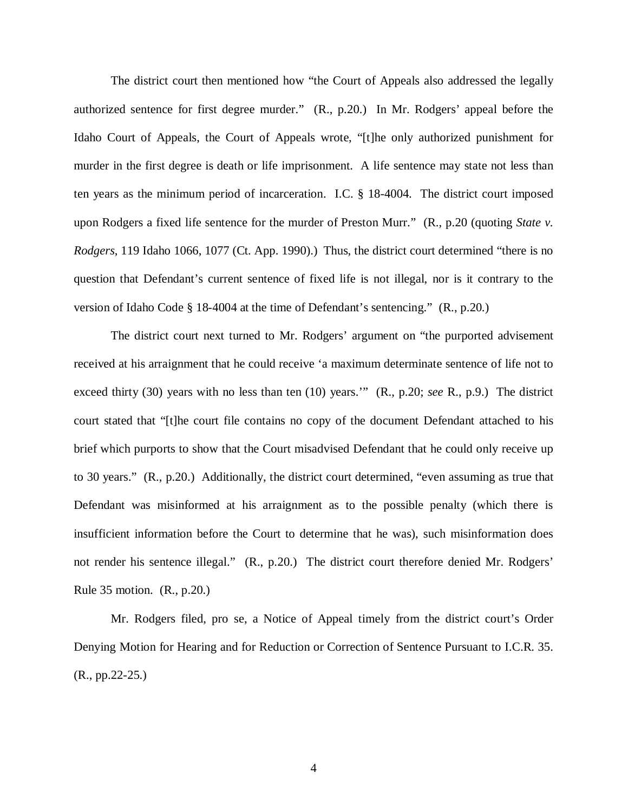The district court then mentioned how "the Court of Appeals also addressed the legally authorized sentence for first degree murder." (R., p.20.) In Mr. Rodgers' appeal before the Idaho Court of Appeals, the Court of Appeals wrote, "[t]he only authorized punishment for murder in the first degree is death or life imprisonment. A life sentence may state not less than ten years as the minimum period of incarceration. I.C. § 18-4004. The district court imposed upon Rodgers a fixed life sentence for the murder of Preston Murr." (R., p.20 (quoting *State v. Rodgers*, 119 Idaho 1066, 1077 (Ct. App. 1990).) Thus, the district court determined "there is no question that Defendant's current sentence of fixed life is not illegal, nor is it contrary to the version of Idaho Code § 18-4004 at the time of Defendant's sentencing." (R., p.20.)

The district court next turned to Mr. Rodgers' argument on "the purported advisement received at his arraignment that he could receive 'a maximum determinate sentence of life not to exceed thirty (30) years with no less than ten (10) years.'" (R., p.20; *see* R., p.9.) The district court stated that "[t]he court file contains no copy of the document Defendant attached to his brief which purports to show that the Court misadvised Defendant that he could only receive up to 30 years." (R., p.20.) Additionally, the district court determined, "even assuming as true that Defendant was misinformed at his arraignment as to the possible penalty (which there is insufficient information before the Court to determine that he was), such misinformation does not render his sentence illegal." (R., p.20.) The district court therefore denied Mr. Rodgers' Rule 35 motion. (R., p.20.)

Mr. Rodgers filed, pro se, a Notice of Appeal timely from the district court's Order Denying Motion for Hearing and for Reduction or Correction of Sentence Pursuant to I.C.R. 35. (R., pp.22-25.)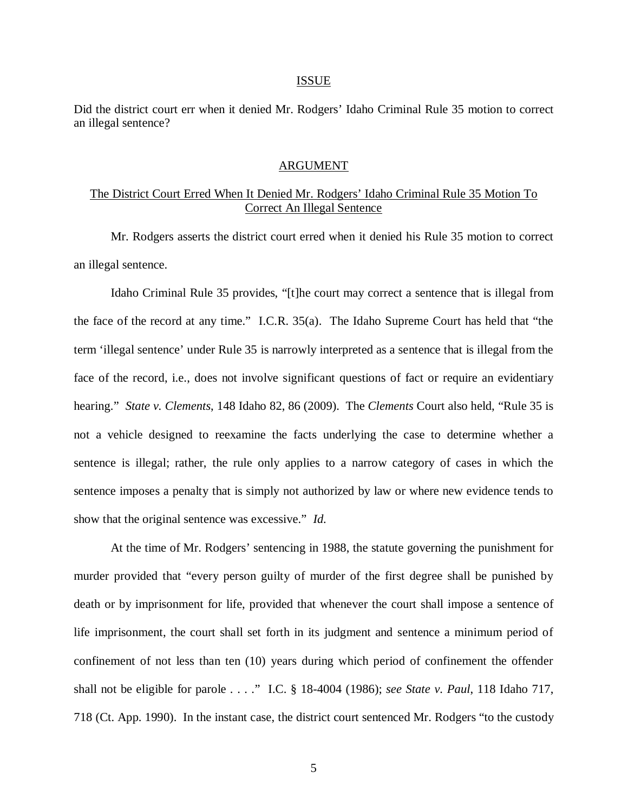#### ISSUE

Did the district court err when it denied Mr. Rodgers' Idaho Criminal Rule 35 motion to correct an illegal sentence?

#### ARGUMENT

### The District Court Erred When It Denied Mr. Rodgers' Idaho Criminal Rule 35 Motion To Correct An Illegal Sentence

Mr. Rodgers asserts the district court erred when it denied his Rule 35 motion to correct an illegal sentence.

Idaho Criminal Rule 35 provides, "[t]he court may correct a sentence that is illegal from the face of the record at any time." I.C.R. 35(a). The Idaho Supreme Court has held that "the term 'illegal sentence' under Rule 35 is narrowly interpreted as a sentence that is illegal from the face of the record, i.e., does not involve significant questions of fact or require an evidentiary hearing." *State v. Clements*, 148 Idaho 82, 86 (2009). The *Clements* Court also held, "Rule 35 is not a vehicle designed to reexamine the facts underlying the case to determine whether a sentence is illegal; rather, the rule only applies to a narrow category of cases in which the sentence imposes a penalty that is simply not authorized by law or where new evidence tends to show that the original sentence was excessive." *Id.*

At the time of Mr. Rodgers' sentencing in 1988, the statute governing the punishment for murder provided that "every person guilty of murder of the first degree shall be punished by death or by imprisonment for life, provided that whenever the court shall impose a sentence of life imprisonment, the court shall set forth in its judgment and sentence a minimum period of confinement of not less than ten (10) years during which period of confinement the offender shall not be eligible for parole . . . ." I.C. § 18-4004 (1986); *see State v. Paul*, 118 Idaho 717, 718 (Ct. App. 1990). In the instant case, the district court sentenced Mr. Rodgers "to the custody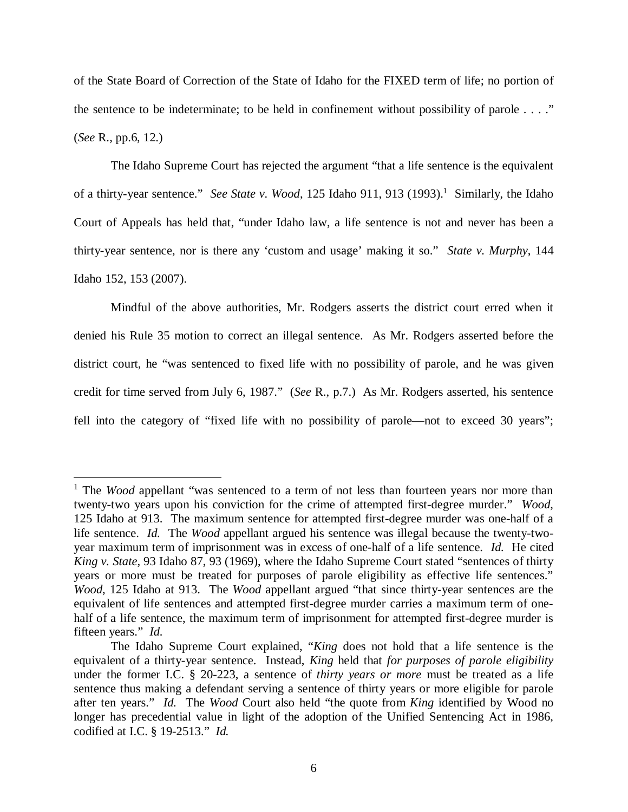of the State Board of Correction of the State of Idaho for the FIXED term of life; no portion of the sentence to be indeterminate; to be held in confinement without possibility of parole  $\dots$ ." (*See* R., pp.6, 12.)

The Idaho Supreme Court has rejected the argument "that a life sentence is the equivalent of a thirty-year sentence." See State v. Wood, [1](#page-6-0)25 Idaho 911, 913 (1993).<sup>1</sup> Similarly, the Idaho Court of Appeals has held that, "under Idaho law, a life sentence is not and never has been a thirty-year sentence, nor is there any 'custom and usage' making it so." *State v. Murphy*, 144 Idaho 152, 153 (2007).

Mindful of the above authorities, Mr. Rodgers asserts the district court erred when it denied his Rule 35 motion to correct an illegal sentence. As Mr. Rodgers asserted before the district court, he "was sentenced to fixed life with no possibility of parole, and he was given credit for time served from July 6, 1987." (*See* R., p.7.) As Mr. Rodgers asserted, his sentence fell into the category of "fixed life with no possibility of parole—not to exceed 30 years";

<span id="page-6-0"></span><sup>&</sup>lt;sup>1</sup> The *Wood* appellant "was sentenced to a term of not less than fourteen years nor more than twenty-two years upon his conviction for the crime of attempted first-degree murder." *Wood*, 125 Idaho at 913. The maximum sentence for attempted first-degree murder was one-half of a life sentence. *Id.* The *Wood* appellant argued his sentence was illegal because the twenty-twoyear maximum term of imprisonment was in excess of one-half of a life sentence. *Id.* He cited *King v. State*, 93 Idaho 87, 93 (1969), where the Idaho Supreme Court stated "sentences of thirty years or more must be treated for purposes of parole eligibility as effective life sentences." *Wood*, 125 Idaho at 913. The *Wood* appellant argued "that since thirty-year sentences are the equivalent of life sentences and attempted first-degree murder carries a maximum term of onehalf of a life sentence, the maximum term of imprisonment for attempted first-degree murder is fifteen years." *Id.*

The Idaho Supreme Court explained, "*King* does not hold that a life sentence is the equivalent of a thirty-year sentence. Instead, *King* held that *for purposes of parole eligibility* under the former I.C. § 20-223, a sentence of *thirty years or more* must be treated as a life sentence thus making a defendant serving a sentence of thirty years or more eligible for parole after ten years." *Id.* The *Wood* Court also held "the quote from *King* identified by Wood no longer has precedential value in light of the adoption of the Unified Sentencing Act in 1986, codified at I.C. § 19-2513." *Id.*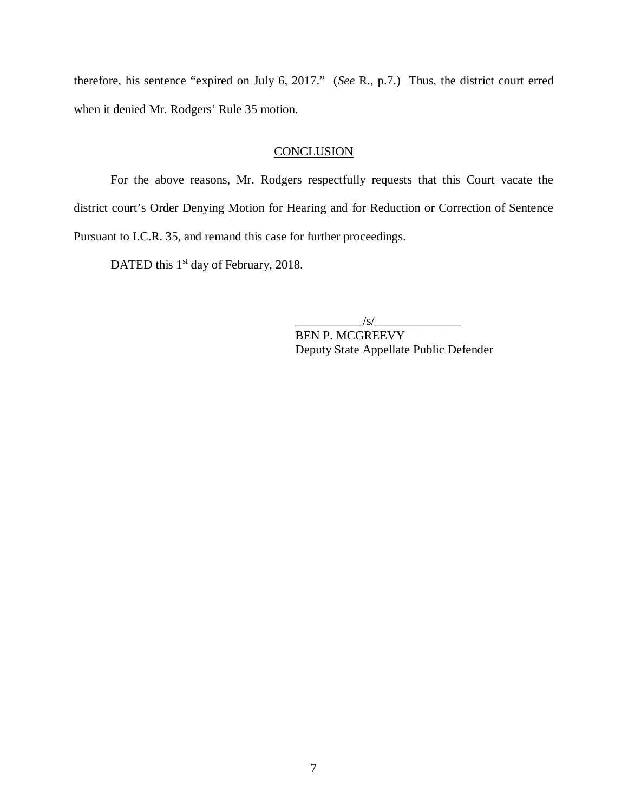therefore, his sentence "expired on July 6, 2017." (*See* R., p.7.) Thus, the district court erred when it denied Mr. Rodgers' Rule 35 motion.

#### **CONCLUSION**

For the above reasons, Mr. Rodgers respectfully requests that this Court vacate the district court's Order Denying Motion for Hearing and for Reduction or Correction of Sentence Pursuant to I.C.R. 35, and remand this case for further proceedings.

DATED this  $1<sup>st</sup>$  day of February, 2018.

 $\sqrt{s}/$ 

BEN P. MCGREEVY Deputy State Appellate Public Defender